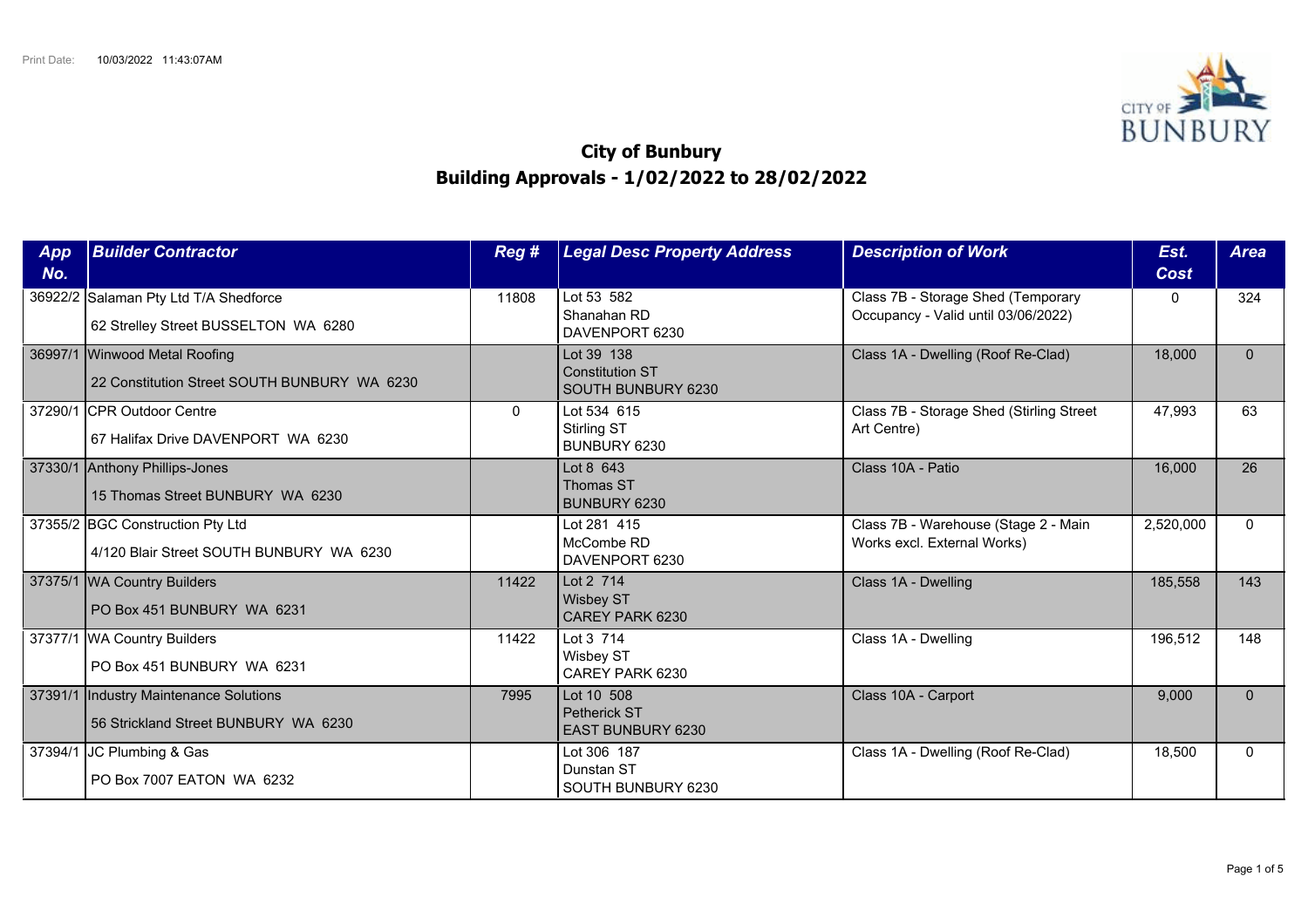

## **City of Bunbury Building Approvals - 1/02/2022 to 28/02/2022**

| App<br>No. | <b>Builder Contractor</b>                                                      | Reg #        | <b>Legal Desc Property Address</b>                         | <b>Description of Work</b>                                                | Est.<br>Cost | <b>Area</b>  |
|------------|--------------------------------------------------------------------------------|--------------|------------------------------------------------------------|---------------------------------------------------------------------------|--------------|--------------|
| 36922/2    | Salaman Pty Ltd T/A Shedforce<br>62 Strelley Street BUSSELTON WA 6280          | 11808        | Lot 53 582<br>Shanahan RD<br>DAVENPORT 6230                | Class 7B - Storage Shed (Temporary<br>Occupancy - Valid until 03/06/2022) | $\Omega$     | 324          |
|            | 36997/1 Winwood Metal Roofing<br>22 Constitution Street SOUTH BUNBURY WA 6230  |              | Lot 39 138<br><b>Constitution ST</b><br>SOUTH BUNBURY 6230 | Class 1A - Dwelling (Roof Re-Clad)                                        | 18,000       | $\mathbf{0}$ |
| 37290/1    | <b>CPR Outdoor Centre</b><br>67 Halifax Drive DAVENPORT WA 6230                | $\mathbf{0}$ | Lot 534 615<br>Stirling ST<br>BUNBURY 6230                 | Class 7B - Storage Shed (Stirling Street<br>Art Centre)                   | 47,993       | 63           |
|            | 37330/1 Anthony Phillips-Jones<br>15 Thomas Street BUNBURY WA 6230             |              | Lot 8 643<br>Thomas ST<br>BUNBURY 6230                     | Class 10A - Patio                                                         | 16,000       | 26           |
|            | 37355/2 BGC Construction Pty Ltd<br>4/120 Blair Street SOUTH BUNBURY WA 6230   |              | Lot 281 415<br>McCombe RD<br>DAVENPORT 6230                | Class 7B - Warehouse (Stage 2 - Main<br>Works excl. External Works)       | 2,520,000    | $\Omega$     |
|            | 37375/1   WA Country Builders<br>PO Box 451 BUNBURY WA 6231                    | 11422        | Lot 2 714<br><b>Wisbey ST</b><br>CAREY PARK 6230           | Class 1A - Dwelling                                                       | 185,558      | 143          |
|            | 37377/1 WA Country Builders<br>PO Box 451 BUNBURY WA 6231                      | 11422        | Lot 3 714<br>Wisbey ST<br>CAREY PARK 6230                  | Class 1A - Dwelling                                                       | 196,512      | 148          |
|            | 37391/1 Industry Maintenance Solutions<br>56 Strickland Street BUNBURY WA 6230 | 7995         | Lot 10 508<br>Petherick ST<br><b>EAST BUNBURY 6230</b>     | Class 10A - Carport                                                       | 9,000        | $\Omega$     |
| 37394/1    | JC Plumbing & Gas<br>PO Box 7007 EATON WA 6232                                 |              | Lot 306 187<br>Dunstan ST<br>SOUTH BUNBURY 6230            | Class 1A - Dwelling (Roof Re-Clad)                                        | 18,500       | $\Omega$     |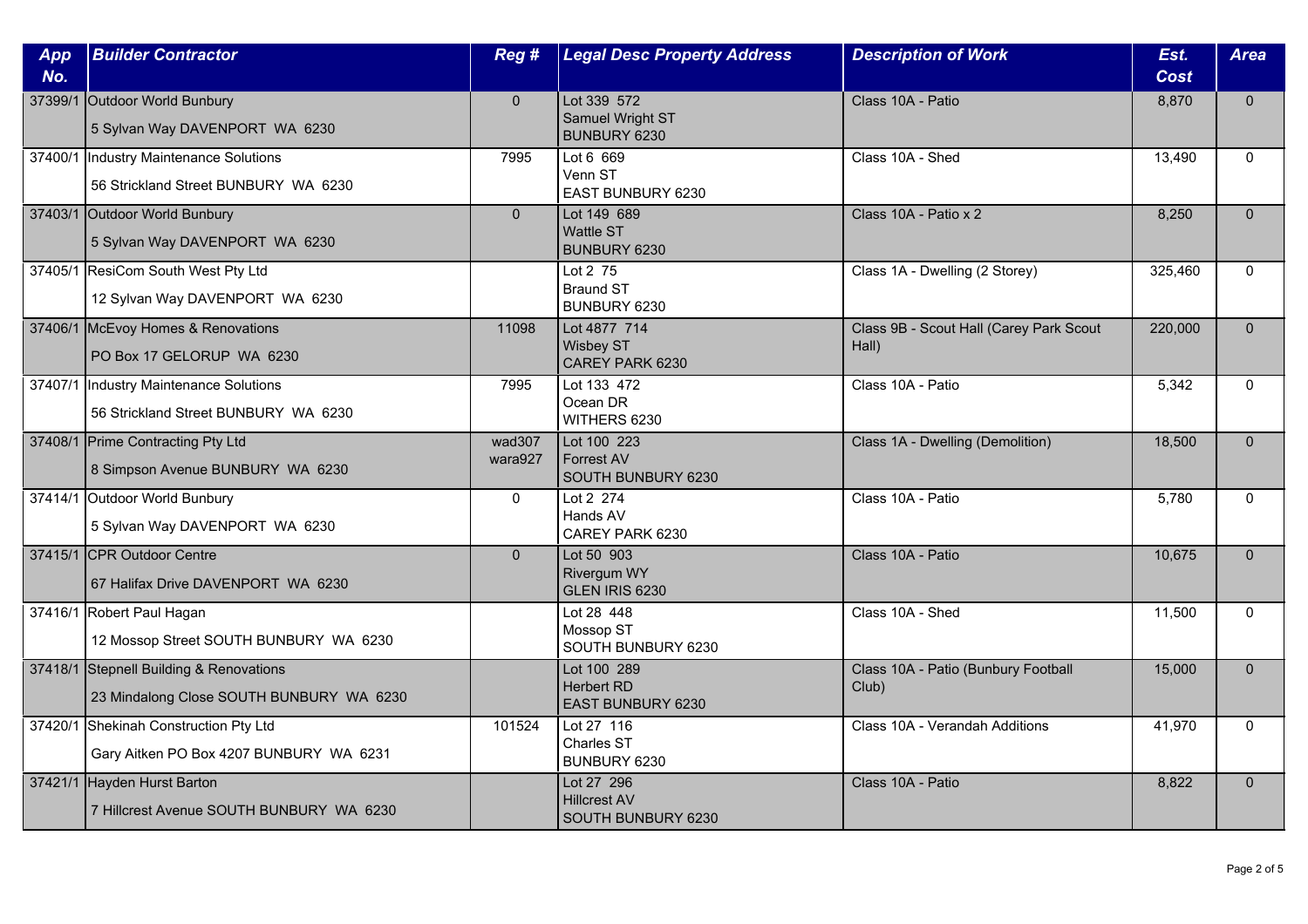| App<br>No. | <b>Builder Contractor</b>                                                           | Reg #             | <b>Legal Desc Property Address</b>                      | <b>Description of Work</b>                       | Est.<br><b>Cost</b> | <b>Area</b>  |
|------------|-------------------------------------------------------------------------------------|-------------------|---------------------------------------------------------|--------------------------------------------------|---------------------|--------------|
|            | 37399/1 Outdoor World Bunbury<br>5 Sylvan Way DAVENPORT WA 6230                     | $\overline{0}$    | Lot 339 572<br><b>Samuel Wright ST</b><br>BUNBURY 6230  | Class 10A - Patio                                | 8,870               | $\mathbf{0}$ |
|            | 37400/1  Industry Maintenance Solutions<br>56 Strickland Street BUNBURY WA 6230     | 7995              | Lot 6 669<br>Venn ST<br>EAST BUNBURY 6230               | Class 10A - Shed                                 | 13.490              | $\Omega$     |
|            | 37403/1 Outdoor World Bunbury<br>5 Sylvan Way DAVENPORT WA 6230                     | $\overline{0}$    | Lot 149 689<br><b>Wattle ST</b><br>BUNBURY 6230         | Class 10A - Patio x 2                            | 8,250               | $\mathbf{0}$ |
|            | 37405/1 ResiCom South West Pty Ltd<br>12 Sylvan Way DAVENPORT WA 6230               |                   | Lot 2 75<br><b>Braund ST</b><br>BUNBURY 6230            | Class 1A - Dwelling (2 Storey)                   | 325,460             | $\mathbf{0}$ |
|            | 37406/1 McEvoy Homes & Renovations<br>PO Box 17 GELORUP WA 6230                     | 11098             | Lot 4877 714<br><b>Wisbey ST</b><br>CAREY PARK 6230     | Class 9B - Scout Hall (Carey Park Scout<br>Hall) | 220,000             | $\mathbf{0}$ |
| 37407/1    | Industry Maintenance Solutions<br>56 Strickland Street BUNBURY WA 6230              | 7995              | Lot 133 472<br>Ocean DR<br>WITHERS 6230                 | Class 10A - Patio                                | 5,342               | $\mathbf{0}$ |
|            | 37408/1 Prime Contracting Pty Ltd<br>8 Simpson Avenue BUNBURY WA 6230               | wad307<br>wara927 | Lot 100 223<br>Forrest AV<br>SOUTH BUNBURY 6230         | Class 1A - Dwelling (Demolition)                 | 18,500              | $\mathbf{0}$ |
|            | 37414/1 Outdoor World Bunbury<br>5 Sylvan Way DAVENPORT WA 6230                     | $\mathbf{0}$      | Lot 2 274<br>Hands AV<br>CAREY PARK 6230                | Class 10A - Patio                                | 5,780               | $\mathbf{0}$ |
|            | 37415/1 CPR Outdoor Centre<br>67 Halifax Drive DAVENPORT WA 6230                    | $\Omega$          | Lot 50 903<br><b>Rivergum WY</b><br>GLEN IRIS 6230      | Class 10A - Patio                                | 10,675              | $\Omega$     |
|            | 37416/1 Robert Paul Hagan<br>12 Mossop Street SOUTH BUNBURY WA 6230                 |                   | Lot 28 448<br>Mossop ST<br>SOUTH BUNBURY 6230           | Class 10A - Shed                                 | 11,500              | $\mathbf{0}$ |
|            | 37418/1 Stepnell Building & Renovations<br>23 Mindalong Close SOUTH BUNBURY WA 6230 |                   | Lot 100 289<br><b>Herbert RD</b><br>EAST BUNBURY 6230   | Class 10A - Patio (Bunbury Football<br>Club)     | 15,000              | $\mathbf{0}$ |
|            | 37420/1 Shekinah Construction Pty Ltd<br>Gary Aitken PO Box 4207 BUNBURY WA 6231    | 101524            | Lot 27 116<br>Charles ST<br>BUNBURY 6230                | Class 10A - Verandah Additions                   | 41,970              | $\Omega$     |
|            | 37421/1 Hayden Hurst Barton<br>7 Hillcrest Avenue SOUTH BUNBURY WA 6230             |                   | Lot 27 296<br><b>Hillcrest AV</b><br>SOUTH BUNBURY 6230 | Class 10A - Patio                                | 8,822               | $\mathbf{0}$ |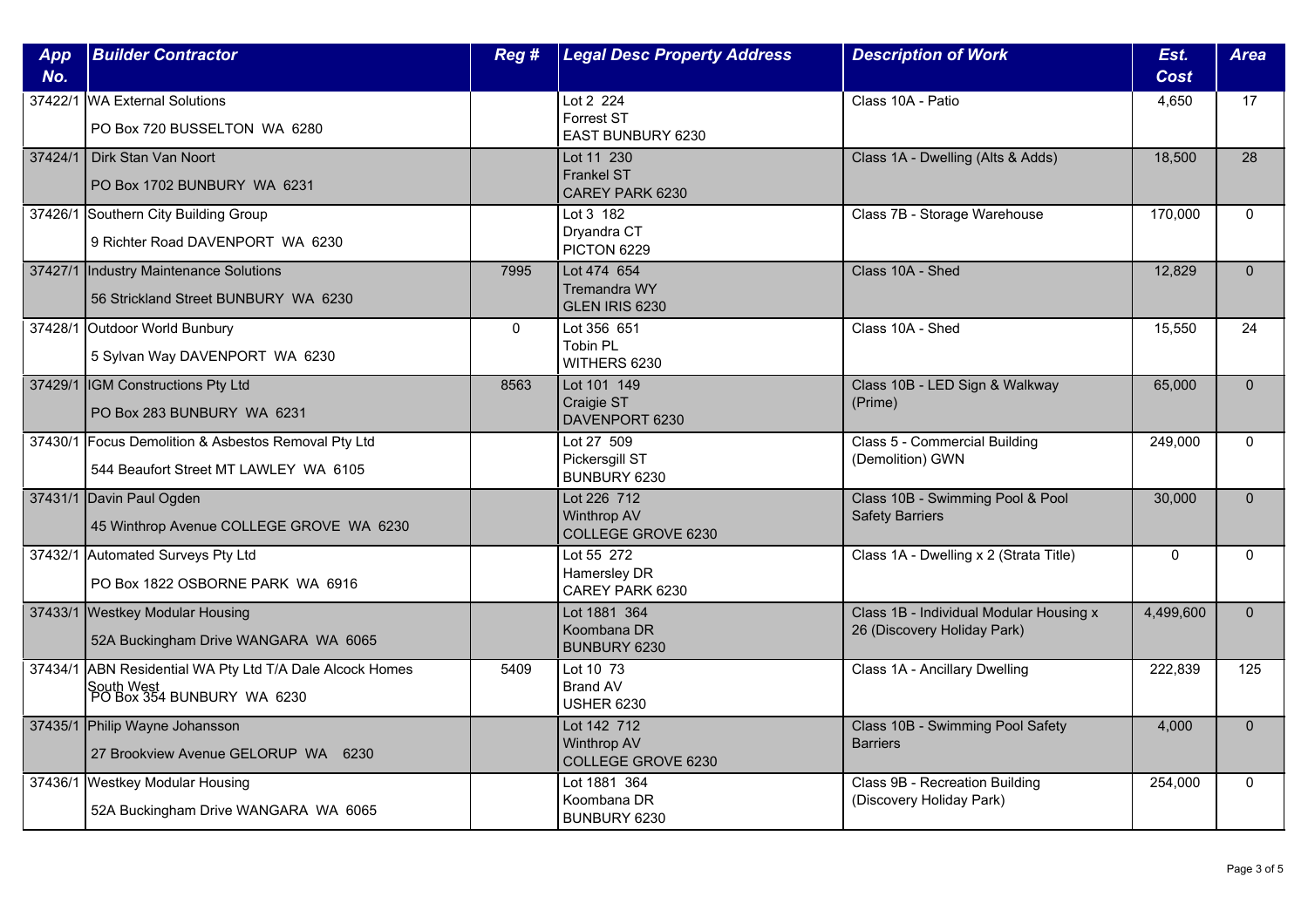| App<br>No. | <b>Builder Contractor</b>                                                                    | Reg#         | <b>Legal Desc Property Address</b>                             | <b>Description of Work</b>                                             | Est.<br>Cost | <b>Area</b>     |
|------------|----------------------------------------------------------------------------------------------|--------------|----------------------------------------------------------------|------------------------------------------------------------------------|--------------|-----------------|
| 37422/1    | <b>WA External Solutions</b><br>PO Box 720 BUSSELTON WA 6280                                 |              | Lot 2 224<br><b>Forrest ST</b><br>EAST BUNBURY 6230            | Class 10A - Patio                                                      | 4,650        | 17              |
| 37424/1    | Dirk Stan Van Noort<br>PO Box 1702 BUNBURY WA 6231                                           |              | Lot 11 230<br><b>Frankel ST</b><br>CAREY PARK 6230             | Class 1A - Dwelling (Alts & Adds)                                      | 18,500       | $\overline{28}$ |
|            | 37426/1 Southern City Building Group<br>9 Richter Road DAVENPORT WA 6230                     |              | Lot 3 182<br>Dryandra CT<br>PICTON 6229                        | Class 7B - Storage Warehouse                                           | 170,000      | $\mathbf{0}$    |
|            | 37427/1 Industry Maintenance Solutions<br>56 Strickland Street BUNBURY WA 6230               | 7995         | Lot 474 654<br>Tremandra WY<br>GLEN IRIS 6230                  | Class 10A - Shed                                                       | 12,829       | $\mathbf{0}$    |
|            | 37428/1 Outdoor World Bunbury<br>5 Sylvan Way DAVENPORT WA 6230                              | $\mathbf{0}$ | Lot 356 651<br>Tobin PL<br>WITHERS 6230                        | Class 10A - Shed                                                       | 15,550       | 24              |
|            | 37429/1 IGM Constructions Pty Ltd<br>PO Box 283 BUNBURY WA 6231                              | 8563         | Lot 101 149<br>Craigie ST<br>DAVENPORT 6230                    | Class 10B - LED Sign & Walkway<br>(Prime)                              | 65,000       | $\Omega$        |
|            | 37430/1 Focus Demolition & Asbestos Removal Pty Ltd<br>544 Beaufort Street MT LAWLEY WA 6105 |              | Lot 27 509<br>Pickersgill ST<br>BUNBURY 6230                   | Class 5 - Commercial Building<br>(Demolition) GWN                      | 249,000      | $\mathbf 0$     |
|            | 37431/1 Davin Paul Ogden<br>45 Winthrop Avenue COLLEGE GROVE WA 6230                         |              | Lot 226 712<br><b>Winthrop AV</b><br><b>COLLEGE GROVE 6230</b> | Class 10B - Swimming Pool & Pool<br><b>Safety Barriers</b>             | 30,000       | $\mathbf{0}$    |
|            | 37432/1 Automated Surveys Pty Ltd<br>PO Box 1822 OSBORNE PARK WA 6916                        |              | Lot 55 272<br>Hamersley DR<br>CAREY PARK 6230                  | Class 1A - Dwelling x 2 (Strata Title)                                 | $\mathbf 0$  | $\Omega$        |
|            | 37433/1 Westkey Modular Housing<br>52A Buckingham Drive WANGARA WA 6065                      |              | Lot 1881 364<br>Koombana DR<br>BUNBURY 6230                    | Class 1B - Individual Modular Housing x<br>26 (Discovery Holiday Park) | 4,499,600    | $\mathbf{0}$    |
| 37434/1    | ABN Residential WA Pty Ltd T/A Dale Alcock Homes<br>South West<br>PO Box 354 BUNBURY WA 6230 | 5409         | Lot 10 73<br><b>Brand AV</b><br><b>USHER 6230</b>              | Class 1A - Ancillary Dwelling                                          | 222,839      | 125             |
|            | 37435/1 Philip Wayne Johansson<br>27 Brookview Avenue GELORUP WA 6230                        |              | Lot 142 712<br><b>Winthrop AV</b><br>COLLEGE GROVE 6230        | Class 10B - Swimming Pool Safety<br><b>Barriers</b>                    | 4,000        | $\Omega$        |
|            | 37436/1 Westkey Modular Housing<br>52A Buckingham Drive WANGARA WA 6065                      |              | Lot 1881 364<br>Koombana DR<br>BUNBURY 6230                    | Class 9B - Recreation Building<br>(Discovery Holiday Park)             | 254,000      | $\mathbf{0}$    |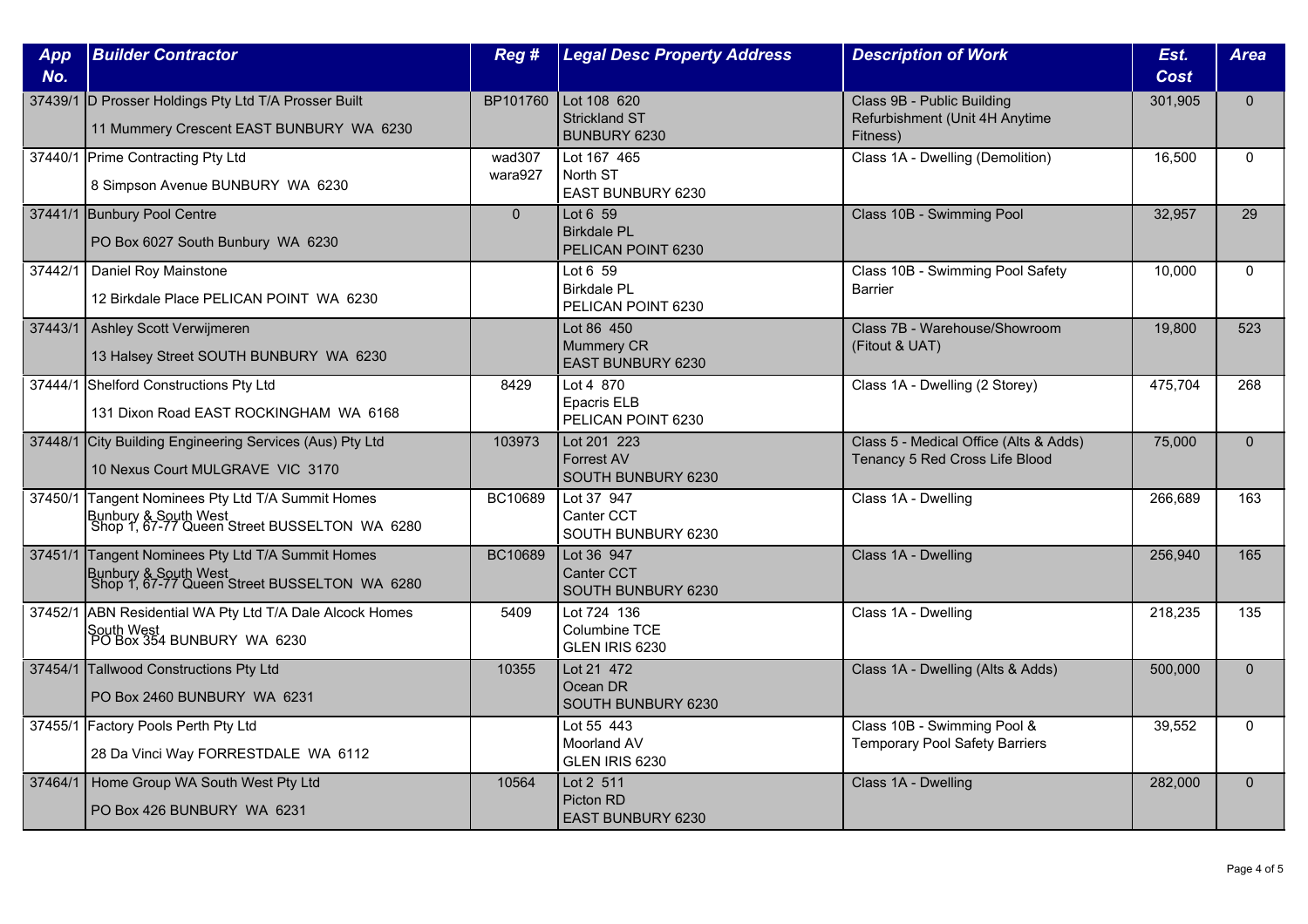| App<br>No. | <b>Builder Contractor</b>                                                                                         | Reg #             | <b>Legal Desc Property Address</b>                     | <b>Description of Work</b>                                               | Est.<br><b>Cost</b> | <b>Area</b>  |
|------------|-------------------------------------------------------------------------------------------------------------------|-------------------|--------------------------------------------------------|--------------------------------------------------------------------------|---------------------|--------------|
|            | 37439/1 D Prosser Holdings Pty Ltd T/A Prosser Built<br>11 Mummery Crescent EAST BUNBURY WA 6230                  | BP101760          | Lot 108 620<br><b>Strickland ST</b><br>BUNBURY 6230    | Class 9B - Public Building<br>Refurbishment (Unit 4H Anytime<br>Fitness) | 301,905             | $\mathbf{0}$ |
|            | 37440/1 Prime Contracting Pty Ltd<br>8 Simpson Avenue BUNBURY WA 6230                                             | wad307<br>wara927 | Lot 167 465<br>North ST<br><b>EAST BUNBURY 6230</b>    | Class 1A - Dwelling (Demolition)                                         | 16,500              | $\Omega$     |
|            | 37441/1 Bunbury Pool Centre<br>PO Box 6027 South Bunbury WA 6230                                                  | $\overline{0}$    | Lot 6 59<br><b>Birkdale PL</b><br>PELICAN POINT 6230   | Class 10B - Swimming Pool                                                | 32,957              | 29           |
| 37442/1    | Daniel Roy Mainstone<br>12 Birkdale Place PELICAN POINT WA 6230                                                   |                   | Lot 6 59<br><b>Birkdale PL</b><br>PELICAN POINT 6230   | Class 10B - Swimming Pool Safety<br><b>Barrier</b>                       | 10,000              | $\mathbf{0}$ |
| 37443/1    | Ashley Scott Verwijmeren<br>13 Halsey Street SOUTH BUNBURY WA 6230                                                |                   | Lot 86 450<br>Mummery CR<br>EAST BUNBURY 6230          | Class 7B - Warehouse/Showroom<br>(Fitout & UAT)                          | 19,800              | 523          |
|            | 37444/1 Shelford Constructions Pty Ltd<br>131 Dixon Road EAST ROCKINGHAM WA 6168                                  | 8429              | Lot 4 870<br>Epacris ELB<br>PELICAN POINT 6230         | Class 1A - Dwelling (2 Storey)                                           | 475,704             | 268          |
|            | 37448/1 City Building Engineering Services (Aus) Pty Ltd<br>10 Nexus Court MULGRAVE VIC 3170                      | 103973            | Lot 201 223<br><b>Forrest AV</b><br>SOUTH BUNBURY 6230 | Class 5 - Medical Office (Alts & Adds)<br>Tenancy 5 Red Cross Life Blood | 75,000              | $\mathbf{0}$ |
| 37450/1    | Tangent Nominees Pty Ltd T/A Summit Homes<br>Bunbury & South West<br>Shop 1, 67-77 Queen Street BUSSELTON WA 6280 | BC10689           | Lot 37 947<br>Canter CCT<br>SOUTH BUNBURY 6230         | Class 1A - Dwelling                                                      | 266,689             | 163          |
| 37451/1    | Tangent Nominees Pty Ltd T/A Summit Homes<br>Bunbury & South West<br>Shop 1, 67-77 Queen Street BUSSELTON WA 6280 | BC10689           | Lot 36 947<br><b>Canter CCT</b><br>SOUTH BUNBURY 6230  | Class 1A - Dwelling                                                      | 256,940             | 165          |
|            | 37452/1 ABN Residential WA Pty Ltd T/A Dale Alcock Homes<br>South West<br>  PO Box 354 BUNBURY WA 6230            | 5409              | Lot 724 136<br>Columbine TCE<br>GLEN IRIS 6230         | Class 1A - Dwelling                                                      | 218,235             | 135          |
|            | 37454/1 Tallwood Constructions Pty Ltd<br>PO Box 2460 BUNBURY WA 6231                                             | 10355             | Lot 21 472<br>Ocean DR<br>SOUTH BUNBURY 6230           | Class 1A - Dwelling (Alts & Adds)                                        | 500,000             | $\mathbf{0}$ |
|            | 37455/1 Factory Pools Perth Pty Ltd<br>28 Da Vinci Way FORRESTDALE WA 6112                                        |                   | Lot 55 443<br>Moorland AV<br>GLEN IRIS 6230            | Class 10B - Swimming Pool &<br><b>Temporary Pool Safety Barriers</b>     | 39,552              | $\Omega$     |
| 37464/1    | Home Group WA South West Pty Ltd<br>PO Box 426 BUNBURY WA 6231                                                    | 10564             | Lot 2 511<br>Picton RD<br>EAST BUNBURY 6230            | Class 1A - Dwelling                                                      | 282,000             | $\mathbf{0}$ |